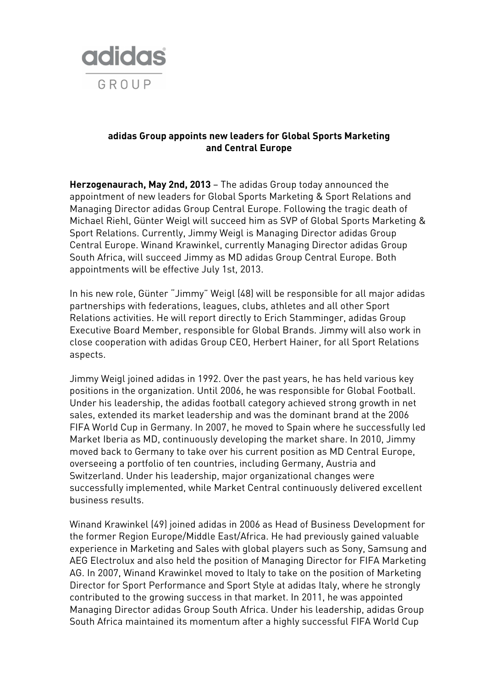

## **adidas Group appoints new leaders for Global Sports Marketing and Central Europe**

**Herzogenaurach, May 2nd, 2013** – The adidas Group today announced the appointment of new leaders for Global Sports Marketing & Sport Relations and Managing Director adidas Group Central Europe. Following the tragic death of Michael Riehl, Günter Weigl will succeed him as SVP of Global Sports Marketing & Sport Relations. Currently, Jimmy Weigl is Managing Director adidas Group Central Europe. Winand Krawinkel, currently Managing Director adidas Group South Africa, will succeed Jimmy as MD adidas Group Central Europe. Both appointments will be effective July 1st, 2013.

In his new role, Günter "Jimmy" Weigl (48) will be responsible for all major adidas partnerships with federations, leagues, clubs, athletes and all other Sport Relations activities. He will report directly to Erich Stamminger, adidas Group Executive Board Member, responsible for Global Brands. Jimmy will also work in close cooperation with adidas Group CEO, Herbert Hainer, for all Sport Relations aspects.

Jimmy Weigl joined adidas in 1992. Over the past years, he has held various key positions in the organization. Until 2006, he was responsible for Global Football. Under his leadership, the adidas football category achieved strong growth in net sales, extended its market leadership and was the dominant brand at the 2006 FIFA World Cup in Germany. In 2007, he moved to Spain where he successfully led Market Iberia as MD, continuously developing the market share. In 2010, Jimmy moved back to Germany to take over his current position as MD Central Europe, overseeing a portfolio of ten countries, including Germany, Austria and Switzerland. Under his leadership, major organizational changes were successfully implemented, while Market Central continuously delivered excellent business results.

Winand Krawinkel (49) joined adidas in 2006 as Head of Business Development for the former Region Europe/Middle East/Africa. He had previously gained valuable experience in Marketing and Sales with global players such as Sony, Samsung and AEG Electrolux and also held the position of Managing Director for FIFA Marketing AG. In 2007, Winand Krawinkel moved to Italy to take on the position of Marketing Director for Sport Performance and Sport Style at adidas Italy, where he strongly contributed to the growing success in that market. In 2011, he was appointed Managing Director adidas Group South Africa. Under his leadership, adidas Group South Africa maintained its momentum after a highly successful FIFA World Cup